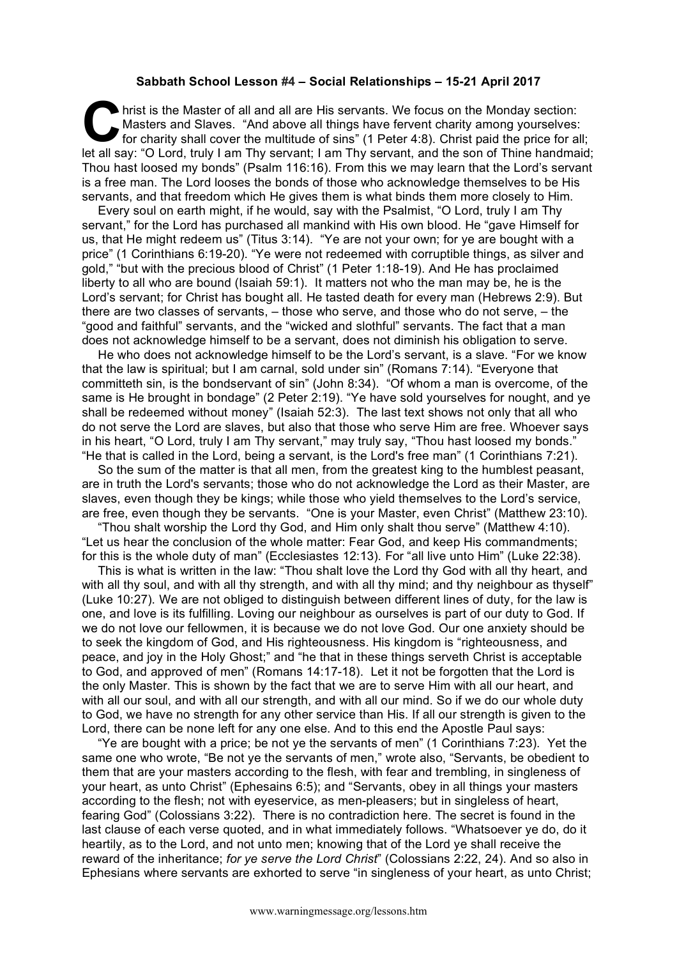## **Sabbath School Lesson #4 – Social Relationships – 15-21 April 2017**

hrist is the Master of all and all are His servants. We focus on the Monday section:<br>
Masters and Slaves. "And above all things have fervent charity among yourselves:<br>
for charity shall cover the multitude of sins" (1 Pete Masters and Slaves. "And above all things have fervent charity among yourselves: for charity shall cover the multitude of sins" (1 Peter 4:8). Christ paid the price for all; let all say: "O Lord, truly I am Thy servant; I am Thy servant, and the son of Thine handmaid; Thou hast loosed my bonds" (Psalm 116:16). From this we may learn that the Lord's servant is a free man. The Lord looses the bonds of those who acknowledge themselves to be His servants, and that freedom which He gives them is what binds them more closely to Him.

Every soul on earth might, if he would, say with the Psalmist, "O Lord, truly I am Thy servant," for the Lord has purchased all mankind with His own blood. He "gave Himself for us, that He might redeem us" (Titus 3:14). "Ye are not your own; for ye are bought with a price" (1 Corinthians 6:19-20). "Ye were not redeemed with corruptible things, as silver and gold," "but with the precious blood of Christ" (1 Peter 1:18-19). And He has proclaimed liberty to all who are bound (Isaiah 59:1). It matters not who the man may be, he is the Lord's servant; for Christ has bought all. He tasted death for every man (Hebrews 2:9). But there are two classes of servants, – those who serve, and those who do not serve, – the "good and faithful" servants, and the "wicked and slothful" servants. The fact that a man does not acknowledge himself to be a servant, does not diminish his obligation to serve.

He who does not acknowledge himself to be the Lord's servant, is a slave. "For we know that the law is spiritual; but I am carnal, sold under sin" (Romans 7:14). "Everyone that committeth sin, is the bondservant of sin" (John 8:34). "Of whom a man is overcome, of the same is He brought in bondage" (2 Peter 2:19). "Ye have sold yourselves for nought, and ye shall be redeemed without money" (Isaiah 52:3). The last text shows not only that all who do not serve the Lord are slaves, but also that those who serve Him are free. Whoever says in his heart, "O Lord, truly I am Thy servant," may truly say, "Thou hast loosed my bonds." "He that is called in the Lord, being a servant, is the Lord's free man" (1 Corinthians 7:21).

So the sum of the matter is that all men, from the greatest king to the humblest peasant, are in truth the Lord's servants; those who do not acknowledge the Lord as their Master, are slaves, even though they be kings; while those who yield themselves to the Lord's service, are free, even though they be servants. "One is your Master, even Christ" (Matthew 23:10).

"Thou shalt worship the Lord thy God, and Him only shalt thou serve" (Matthew 4:10). "Let us hear the conclusion of the whole matter: Fear God, and keep His commandments; for this is the whole duty of man" (Ecclesiastes 12:13). For "all live unto Him" (Luke 22:38).

This is what is written in the law: "Thou shalt love the Lord thy God with all thy heart, and with all thy soul, and with all thy strength, and with all thy mind; and thy neighbour as thyself" (Luke 10:27). We are not obliged to distinguish between different lines of duty, for the law is one, and love is its fulfilling. Loving our neighbour as ourselves is part of our duty to God. If we do not love our fellowmen, it is because we do not love God. Our one anxiety should be to seek the kingdom of God, and His righteousness. His kingdom is "righteousness, and peace, and joy in the Holy Ghost;" and "he that in these things serveth Christ is acceptable to God, and approved of men" (Romans 14:17-18). Let it not be forgotten that the Lord is the only Master. This is shown by the fact that we are to serve Him with all our heart, and with all our soul, and with all our strength, and with all our mind. So if we do our whole duty to God, we have no strength for any other service than His. If all our strength is given to the Lord, there can be none left for any one else. And to this end the Apostle Paul says:

"Ye are bought with a price; be not ye the servants of men" (1 Corinthians 7:23). Yet the same one who wrote, "Be not ye the servants of men," wrote also, "Servants, be obedient to them that are your masters according to the flesh, with fear and trembling, in singleness of your heart, as unto Christ" (Ephesains 6:5); and "Servants, obey in all things your masters according to the flesh; not with eyeservice, as men-pleasers; but in singleless of heart, fearing God" (Colossians 3:22). There is no contradiction here. The secret is found in the last clause of each verse quoted, and in what immediately follows. "Whatsoever ye do, do it heartily, as to the Lord, and not unto men; knowing that of the Lord ye shall receive the reward of the inheritance; *for ye serve the Lord Christ*" (Colossians 2:22, 24). And so also in Ephesians where servants are exhorted to serve "in singleness of your heart, as unto Christ;